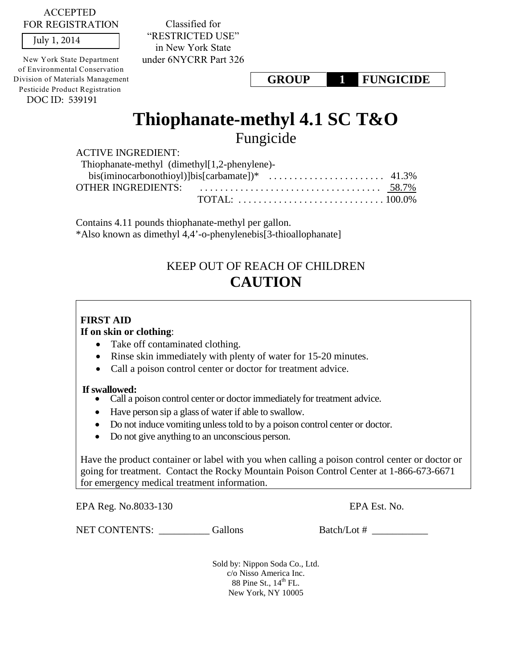ACCEPTED FOR REGISTRATION

July 1, 2014

DOC ID: 539191 New York State Department of Environmental Conservation Division of Materials Management Pesticide Product Registration

Classified for "RESTRICTED USE" in New York State under 6NYCRR Part 326

**GROUP 1 FUNGICIDE**

# **Thiophanate-methyl 4.1 SC T&O**  Fungicide

ACTIVE INGREDIENT:

| Thiophanate-methyl (dimethyl [1,2-phenylene)-                                                     |  |  |  |  |
|---------------------------------------------------------------------------------------------------|--|--|--|--|
| bis(iminocarbonothioyl)]bis[carbamate])* $\ldots \ldots \ldots \ldots \ldots \ldots \ldots$ 41.3% |  |  |  |  |
|                                                                                                   |  |  |  |  |
|                                                                                                   |  |  |  |  |

Contains 4.11 pounds thiophanate-methyl per gallon. \*Also known as dimethyl 4,4'-o-phenylenebis[3-thioallophanate]

# KEEP OUT OF REACH OF CHILDREN **CAUTION**

# **FIRST AID**

# **If on skin or clothing**:

- Take off contaminated clothing.
- Rinse skin immediately with plenty of water for 15-20 minutes.
- Call a poison control center or doctor for treatment advice.

- **If swallowed:**  Call a poison control center or doctor immediately for treatment advice.
	- Have person sip a glass of water if able to swallow.
	- Do not induce vomiting unless told to by a poison control center or doctor.
	- Do not give anything to an unconscious person.

Have the product container or label with you when calling a poison control center or doctor or going for treatment. Contact the Rocky Mountain Poison Control Center at 1-866-673-6671 for emergency medical treatment information.

EPA Reg. No.8033-130 EPA Est. No.

NET CONTENTS: Gallons Batch/Lot #

Sold by: Nippon Soda Co., Ltd. c/o Nisso America Inc. 88 Pine St.,  $14<sup>th</sup>$  FL. New York, NY 10005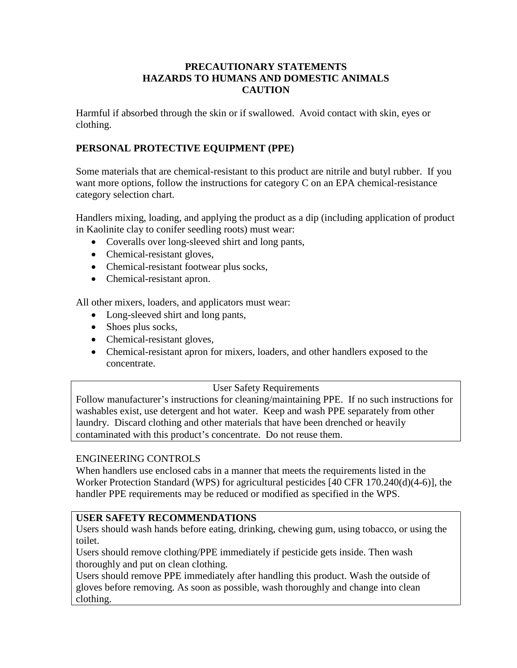# **PRECAUTIONARY STATEMENTS HAZARDS TO HUMANS AND DOMESTIC ANIMALS CAUTION**

Harmful if absorbed through the skin or if swallowed. Avoid contact with skin, eyes or clothing.

# **PERSONAL PROTECTIVE EQUIPMENT (PPE)**

Some materials that are chemical-resistant to this product are nitrile and butyl rubber. If you want more options, follow the instructions for category C on an EPA chemical-resistance category selection chart.

Handlers mixing, loading, and applying the product as a dip (including application of product in Kaolinite clay to conifer seedling roots) must wear:

- Coveralls over long-sleeved shirt and long pants,
- Chemical-resistant gloves,
- Chemical-resistant footwear plus socks,
- Chemical-resistant apron.

All other mixers, loaders, and applicators must wear:

- Long-sleeved shirt and long pants,
- Shoes plus socks,
- Chemical-resistant gloves,
- Chemical-resistant apron for mixers, loaders, and other handlers exposed to the concentrate.

#### User Safety Requirements

Follow manufacturer's instructions for cleaning/maintaining PPE. If no such instructions for washables exist, use detergent and hot water. Keep and wash PPE separately from other laundry. Discard clothing and other materials that have been drenched or heavily contaminated with this product's concentrate. Do not reuse them.

#### ENGINEERING CONTROLS

When handlers use enclosed cabs in a manner that meets the requirements listed in the Worker Protection Standard (WPS) for agricultural pesticides [40 CFR 170.240(d)(4-6)], the handler PPE requirements may be reduced or modified as specified in the WPS.

#### **USER SAFETY RECOMMENDATIONS**

Users should wash hands before eating, drinking, chewing gum, using tobacco, or using the toilet.

Users should remove clothing/PPE immediately if pesticide gets inside. Then wash thoroughly and put on clean clothing.

Users should remove PPE immediately after handling this product. Wash the outside of gloves before removing. As soon as possible, wash thoroughly and change into clean clothing.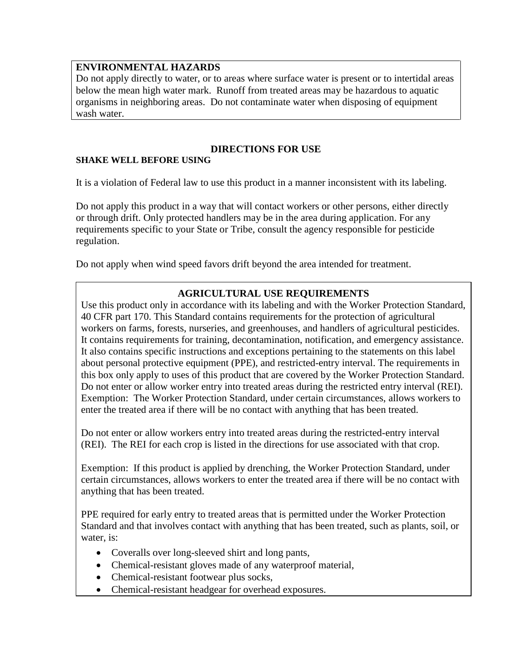# **ENVIRONMENTAL HAZARDS**

Do not apply directly to water, or to areas where surface water is present or to intertidal areas below the mean high water mark. Runoff from treated areas may be hazardous to aquatic organisms in neighboring areas. Do not contaminate water when disposing of equipment wash water.

# **DIRECTIONS FOR USE**

# **SHAKE WELL BEFORE USING**

It is a violation of Federal law to use this product in a manner inconsistent with its labeling.

Do not apply this product in a way that will contact workers or other persons, either directly or through drift. Only protected handlers may be in the area during application. For any requirements specific to your State or Tribe, consult the agency responsible for pesticide regulation.

Do not apply when wind speed favors drift beyond the area intended for treatment.

# **AGRICULTURAL USE REQUIREMENTS**

Use this product only in accordance with its labeling and with the Worker Protection Standard, 40 CFR part 170. This Standard contains requirements for the protection of agricultural workers on farms, forests, nurseries, and greenhouses, and handlers of agricultural pesticides. It contains requirements for training, decontamination, notification, and emergency assistance. It also contains specific instructions and exceptions pertaining to the statements on this label about personal protective equipment (PPE), and restricted-entry interval. The requirements in this box only apply to uses of this product that are covered by the Worker Protection Standard. Do not enter or allow worker entry into treated areas during the restricted entry interval (REI). Exemption: The Worker Protection Standard, under certain circumstances, allows workers to enter the treated area if there will be no contact with anything that has been treated.

Do not enter or allow workers entry into treated areas during the restricted-entry interval (REI). The REI for each crop is listed in the directions for use associated with that crop.

Exemption: If this product is applied by drenching, the Worker Protection Standard, under certain circumstances, allows workers to enter the treated area if there will be no contact with anything that has been treated.

PPE required for early entry to treated areas that is permitted under the Worker Protection Standard and that involves contact with anything that has been treated, such as plants, soil, or water, is:

- Coveralls over long-sleeved shirt and long pants,
- Chemical-resistant gloves made of any waterproof material,
- Chemical-resistant footwear plus socks,
- Chemical-resistant headgear for overhead exposures.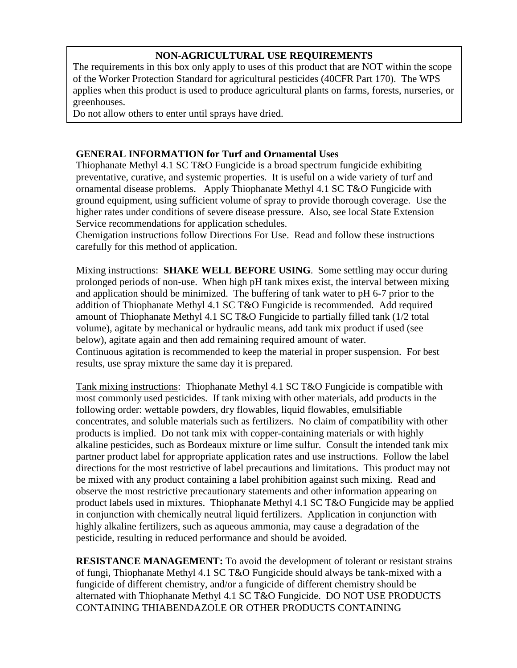# **NON-AGRICULTURAL USE REQUIREMENTS**

The requirements in this box only apply to uses of this product that are NOT within the scope of the Worker Protection Standard for agricultural pesticides (40CFR Part 170). The WPS applies when this product is used to produce agricultural plants on farms, forests, nurseries, or greenhouses.

Do not allow others to enter until sprays have dried.

## **GENERAL INFORMATION for Turf and Ornamental Uses**

Thiophanate Methyl 4.1 SC T&O Fungicide is a broad spectrum fungicide exhibiting preventative, curative, and systemic properties. It is useful on a wide variety of turf and ornamental disease problems. Apply Thiophanate Methyl 4.1 SC T&O Fungicide with ground equipment, using sufficient volume of spray to provide thorough coverage. Use the higher rates under conditions of severe disease pressure. Also, see local State Extension Service recommendations for application schedules.

Chemigation instructions follow Directions For Use. Read and follow these instructions carefully for this method of application.

Mixing instructions: **SHAKE WELL BEFORE USING**. Some settling may occur during prolonged periods of non-use. When high pH tank mixes exist, the interval between mixing and application should be minimized. The buffering of tank water to pH 6-7 prior to the addition of Thiophanate Methyl 4.1 SC T&O Fungicide is recommended. Add required amount of Thiophanate Methyl 4.1 SC T&O Fungicide to partially filled tank (1/2 total volume), agitate by mechanical or hydraulic means, add tank mix product if used (see below), agitate again and then add remaining required amount of water. Continuous agitation is recommended to keep the material in proper suspension. For best results, use spray mixture the same day it is prepared.

Tank mixing instructions: Thiophanate Methyl 4.1 SC T&O Fungicide is compatible with most commonly used pesticides. If tank mixing with other materials, add products in the following order: wettable powders, dry flowables, liquid flowables, emulsifiable concentrates, and soluble materials such as fertilizers. No claim of compatibility with other products is implied. Do not tank mix with copper-containing materials or with highly alkaline pesticides, such as Bordeaux mixture or lime sulfur. Consult the intended tank mix partner product label for appropriate application rates and use instructions. Follow the label directions for the most restrictive of label precautions and limitations. This product may not be mixed with any product containing a label prohibition against such mixing. Read and observe the most restrictive precautionary statements and other information appearing on product labels used in mixtures. Thiophanate Methyl 4.1 SC T&O Fungicide may be applied in conjunction with chemically neutral liquid fertilizers. Application in conjunction with highly alkaline fertilizers, such as aqueous ammonia, may cause a degradation of the pesticide, resulting in reduced performance and should be avoided.

**RESISTANCE MANAGEMENT:** To avoid the development of tolerant or resistant strains of fungi, Thiophanate Methyl 4.1 SC T&O Fungicide should always be tank-mixed with a fungicide of different chemistry, and/or a fungicide of different chemistry should be alternated with Thiophanate Methyl 4.1 SC T&O Fungicide. DO NOT USE PRODUCTS CONTAINING THIABENDAZOLE OR OTHER PRODUCTS CONTAINING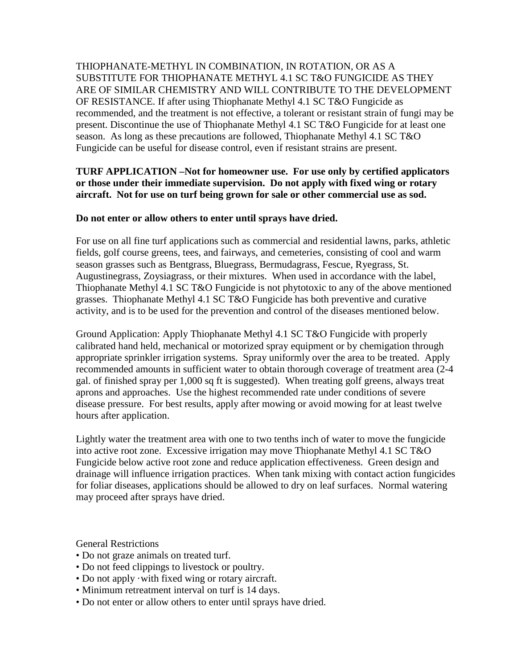THIOPHANATE-METHYL IN COMBINATION, IN ROTATION, OR AS A SUBSTITUTE FOR THIOPHANATE METHYL 4.1 SC T&O FUNGICIDE AS THEY ARE OF SIMILAR CHEMISTRY AND WILL CONTRIBUTE TO THE DEVELOPMENT OF RESISTANCE. If after using Thiophanate Methyl 4.1 SC T&O Fungicide as recommended, and the treatment is not effective, a tolerant or resistant strain of fungi may be present. Discontinue the use of Thiophanate Methyl 4.1 SC T&O Fungicide for at least one season. As long as these precautions are followed, Thiophanate Methyl 4.1 SC T&O Fungicide can be useful for disease control, even if resistant strains are present.

# **TURF APPLICATION –Not for homeowner use. For use only by certified applicators or those under their immediate supervision. Do not apply with fixed wing or rotary aircraft. Not for use on turf being grown for sale or other commercial use as sod.**

## **Do not enter or allow others to enter until sprays have dried.**

For use on all fine turf applications such as commercial and residential lawns, parks, athletic fields, golf course greens, tees, and fairways, and cemeteries, consisting of cool and warm season grasses such as Bentgrass, Bluegrass, Bermudagrass, Fescue, Ryegrass, St. Augustinegrass, Zoysiagrass, or their mixtures. When used in accordance with the label, Thiophanate Methyl 4.1 SC T&O Fungicide is not phytotoxic to any of the above mentioned grasses. Thiophanate Methyl 4.1 SC T&O Fungicide has both preventive and curative activity, and is to be used for the prevention and control of the diseases mentioned below.

Ground Application: Apply Thiophanate Methyl 4.1 SC T&O Fungicide with properly calibrated hand held, mechanical or motorized spray equipment or by chemigation through appropriate sprinkler irrigation systems. Spray uniformly over the area to be treated. Apply recommended amounts in sufficient water to obtain thorough coverage of treatment area (2-4 gal. of finished spray per 1,000 sq ft is suggested). When treating golf greens, always treat aprons and approaches. Use the highest recommended rate under conditions of severe disease pressure. For best results, apply after mowing or avoid mowing for at least twelve hours after application.

Lightly water the treatment area with one to two tenths inch of water to move the fungicide into active root zone. Excessive irrigation may move Thiophanate Methyl 4.1 SC T&O Fungicide below active root zone and reduce application effectiveness. Green design and drainage will influence irrigation practices. When tank mixing with contact action fungicides for foliar diseases, applications should be allowed to dry on leaf surfaces. Normal watering may proceed after sprays have dried.

General Restrictions

- Do not graze animals on treated turf.
- Do not feed clippings to livestock or poultry.
- Do not apply ·with fixed wing or rotary aircraft.
- Minimum retreatment interval on turf is 14 days.
- Do not enter or allow others to enter until sprays have dried.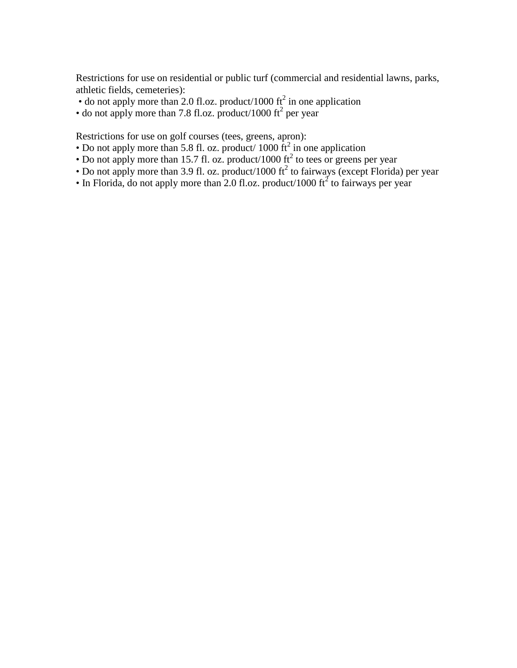Restrictions for use on residential or public turf (commercial and residential lawns, parks, athletic fields, cemeteries):

- do not apply more than 2.0 fl.oz. product/1000  $\text{ft}^2$  in one application
- $\bullet$  do not apply more than 7.8 fl.oz. product/1000 ft<sup>2</sup> per year

Restrictions for use on golf courses (tees, greens, apron):

- Do not apply more than 5.8 fl. oz. product/  $1000 \text{ ft}^2$  in one application
- Do not apply more than 15.7 fl. oz. product/1000  $\text{ft}^2$  to tees or greens per year
- Do not apply more than 3.9 fl. oz. product/1000 ft<sup>2</sup> to fairways (except Florida) per year
- In Florida, do not apply more than 2.0 fl.oz. product/1000  $\pi^2$  to fairways per year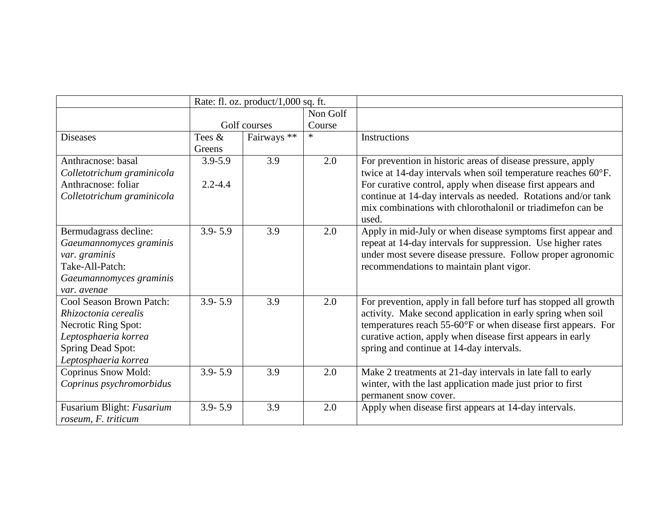|                            | Rate: fl. oz. product/1,000 sq. ft. |              |          |                                                                  |
|----------------------------|-------------------------------------|--------------|----------|------------------------------------------------------------------|
|                            |                                     |              | Non Golf |                                                                  |
|                            |                                     | Golf courses | Course   |                                                                  |
| <b>Diseases</b>            | Tees &                              | Fairways **  | $\ast$   | Instructions                                                     |
|                            | Greens                              |              |          |                                                                  |
| Anthracnose: basal         | $3.9 - 5.9$                         | 3.9          | 2.0      | For prevention in historic areas of disease pressure, apply      |
| Colletotrichum graminicola |                                     |              |          | twice at 14-day intervals when soil temperature reaches 60°F.    |
| Anthracnose: foliar        | $2.2 - 4.4$                         |              |          | For curative control, apply when disease first appears and       |
| Colletotrichum graminicola |                                     |              |          | continue at 14-day intervals as needed. Rotations and/or tank    |
|                            |                                     |              |          | mix combinations with chlorothalonil or triadimeton can be       |
|                            |                                     |              |          | used.                                                            |
| Bermudagrass decline:      | $3.9 - 5.9$                         | 3.9          | 2.0      | Apply in mid-July or when disease symptoms first appear and      |
| Gaeumannomyces graminis    |                                     |              |          | repeat at 14-day intervals for suppression. Use higher rates     |
| var. graminis              |                                     |              |          | under most severe disease pressure. Follow proper agronomic      |
| Take-All-Patch:            |                                     |              |          | recommendations to maintain plant vigor.                         |
| Gaeumannomyces graminis    |                                     |              |          |                                                                  |
| var. avenae                |                                     |              |          |                                                                  |
| Cool Season Brown Patch:   | $3.9 - 5.9$                         | 3.9          | 2.0      | For prevention, apply in fall before turf has stopped all growth |
| Rhizoctonia cerealis       |                                     |              |          | activity. Make second application in early spring when soil      |
| Necrotic Ring Spot:        |                                     |              |          | temperatures reach 55-60°F or when disease first appears. For    |
| Leptosphaeria korrea       |                                     |              |          | curative action, apply when disease first appears in early       |
| <b>Spring Dead Spot:</b>   |                                     |              |          | spring and continue at 14-day intervals.                         |
| Leptosphaeria korrea       |                                     |              |          |                                                                  |
| <b>Coprinus Snow Mold:</b> | $3.9 - 5.9$                         | 3.9          | 2.0      | Make 2 treatments at 21-day intervals in late fall to early      |
| Coprinus psychromorbidus   |                                     |              |          | winter, with the last application made just prior to first       |
|                            |                                     |              |          | permanent snow cover.                                            |
| Fusarium Blight: Fusarium  | $3.9 - 5.9$                         | 3.9          | 2.0      | Apply when disease first appears at 14-day intervals.            |
| roseum, F. triticum        |                                     |              |          |                                                                  |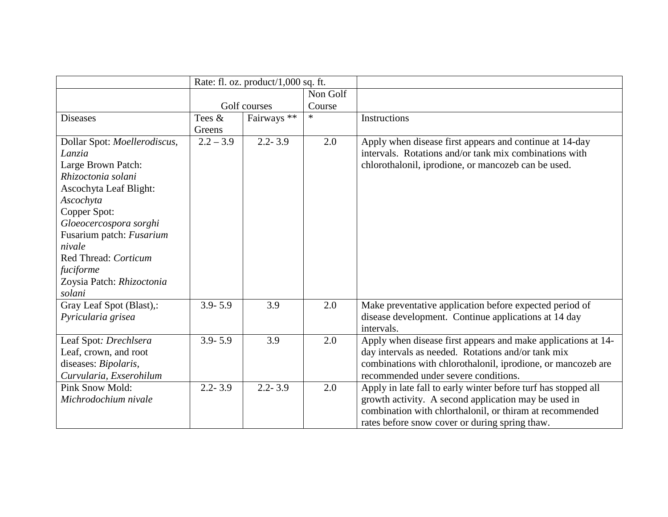|                              | Rate: fl. oz. product/1,000 sq. ft. |              |          |                                                                |
|------------------------------|-------------------------------------|--------------|----------|----------------------------------------------------------------|
|                              |                                     |              | Non Golf |                                                                |
|                              |                                     | Golf courses | Course   |                                                                |
| <b>Diseases</b>              | Tees &                              | Fairways **  | $\ast$   | Instructions                                                   |
|                              | Greens                              |              |          |                                                                |
| Dollar Spot: Moellerodiscus, | $2.2 - 3.9$                         | $2.2 - 3.9$  | 2.0      | Apply when disease first appears and continue at 14-day        |
| Lanzia                       |                                     |              |          | intervals. Rotations and/or tank mix combinations with         |
| Large Brown Patch:           |                                     |              |          | chlorothalonil, iprodione, or mancozeb can be used.            |
| Rhizoctonia solani           |                                     |              |          |                                                                |
| Ascochyta Leaf Blight:       |                                     |              |          |                                                                |
| Ascochyta                    |                                     |              |          |                                                                |
| Copper Spot:                 |                                     |              |          |                                                                |
| Gloeocercospora sorghi       |                                     |              |          |                                                                |
| Fusarium patch: Fusarium     |                                     |              |          |                                                                |
| nivale                       |                                     |              |          |                                                                |
| Red Thread: Corticum         |                                     |              |          |                                                                |
| fuciforme                    |                                     |              |          |                                                                |
| Zoysia Patch: Rhizoctonia    |                                     |              |          |                                                                |
| solani                       |                                     |              |          |                                                                |
| Gray Leaf Spot (Blast),:     | $3.9 - 5.9$                         | 3.9          | 2.0      | Make preventative application before expected period of        |
| Pyricularia grisea           |                                     |              |          | disease development. Continue applications at 14 day           |
|                              |                                     |              |          | intervals.                                                     |
| Leaf Spot: Drechlsera        | $3.9 - 5.9$                         | 3.9          | 2.0      | Apply when disease first appears and make applications at 14-  |
| Leaf, crown, and root        |                                     |              |          | day intervals as needed. Rotations and/or tank mix             |
| diseases: Bipolaris,         |                                     |              |          | combinations with chlorothalonil, iprodione, or mancozeb are   |
| Curvularia, Exserohilum      |                                     |              |          | recommended under severe conditions.                           |
| <b>Pink Snow Mold:</b>       | $2.2 - 3.9$                         | $2.2 - 3.9$  | 2.0      | Apply in late fall to early winter before turf has stopped all |
| Michrodochium nivale         |                                     |              |          | growth activity. A second application may be used in           |
|                              |                                     |              |          | combination with chlorthalonil, or thiram at recommended       |
|                              |                                     |              |          | rates before snow cover or during spring thaw.                 |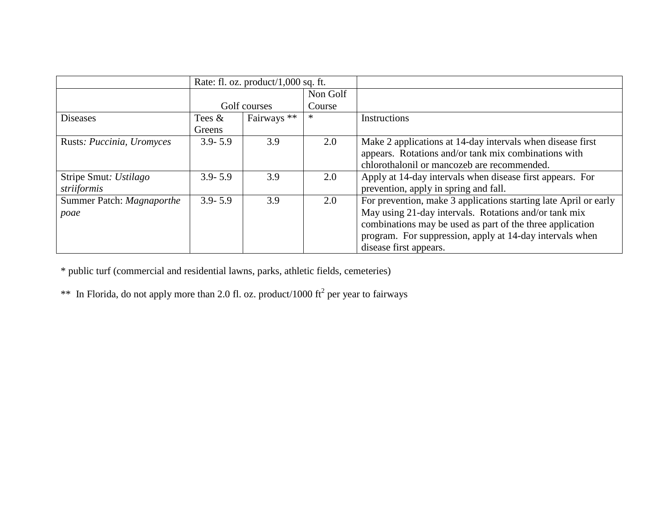|                           | Rate: fl. oz. product/ $1,000$ sq. ft. |              |          |                                                                  |
|---------------------------|----------------------------------------|--------------|----------|------------------------------------------------------------------|
|                           |                                        |              | Non Golf |                                                                  |
|                           |                                        | Golf courses | Course   |                                                                  |
| <b>Diseases</b>           | Tees $\&$                              | Fairways **  | $\ast$   | Instructions                                                     |
|                           | Greens                                 |              |          |                                                                  |
| Rusts: Puccinia, Uromyces | $3.9 - 5.9$                            | 3.9          | 2.0      | Make 2 applications at 14-day intervals when disease first       |
|                           |                                        |              |          | appears. Rotations and/or tank mix combinations with             |
|                           |                                        |              |          | chlorothalonil or mancozeb are recommended.                      |
| Stripe Smut: Ustilago     | $3.9 - 5.9$                            | 3.9          | 2.0      | Apply at 14-day intervals when disease first appears. For        |
| striiformis               |                                        |              |          | prevention, apply in spring and fall.                            |
| Summer Patch: Magnaporthe | $3.9 - 5.9$                            | 3.9          | 2.0      | For prevention, make 3 applications starting late April or early |
| poae                      |                                        |              |          | May using 21-day intervals. Rotations and/or tank mix            |
|                           |                                        |              |          | combinations may be used as part of the three application        |
|                           |                                        |              |          | program. For suppression, apply at 14-day intervals when         |
|                           |                                        |              |          | disease first appears.                                           |

\* public turf (commercial and residential lawns, parks, athletic fields, cemeteries)

\*\* In Florida, do not apply more than 2.0 fl. oz. product/1000 ft<sup>2</sup> per year to fairways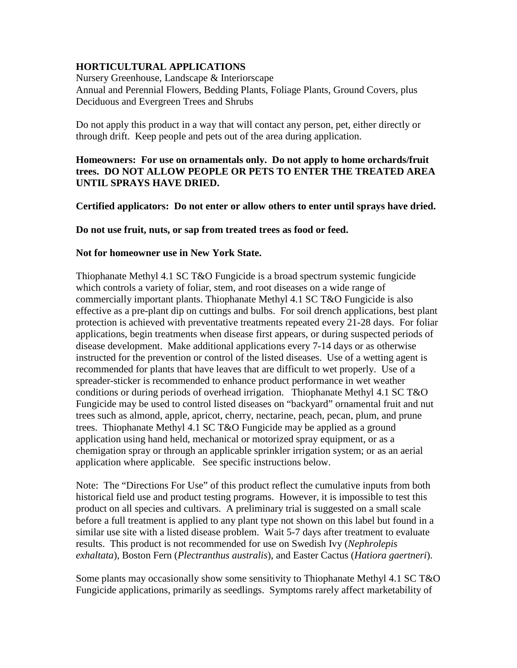# **HORTICULTURAL APPLICATIONS**

Nursery Greenhouse, Landscape & Interiorscape Annual and Perennial Flowers, Bedding Plants, Foliage Plants, Ground Covers, plus Deciduous and Evergreen Trees and Shrubs

Do not apply this product in a way that will contact any person, pet, either directly or through drift. Keep people and pets out of the area during application.

## **Homeowners: For use on ornamentals only. Do not apply to home orchards/fruit trees. DO NOT ALLOW PEOPLE OR PETS TO ENTER THE TREATED AREA UNTIL SPRAYS HAVE DRIED.**

**Certified applicators: Do not enter or allow others to enter until sprays have dried.**

**Do not use fruit, nuts, or sap from treated trees as food or feed.**

#### **Not for homeowner use in New York State.**

Thiophanate Methyl 4.1 SC T&O Fungicide is a broad spectrum systemic fungicide which controls a variety of foliar, stem, and root diseases on a wide range of commercially important plants. Thiophanate Methyl 4.1 SC T&O Fungicide is also effective as a pre-plant dip on cuttings and bulbs. For soil drench applications, best plant protection is achieved with preventative treatments repeated every 21-28 days. For foliar applications, begin treatments when disease first appears, or during suspected periods of disease development. Make additional applications every 7-14 days or as otherwise instructed for the prevention or control of the listed diseases. Use of a wetting agent is recommended for plants that have leaves that are difficult to wet properly. Use of a spreader-sticker is recommended to enhance product performance in wet weather conditions or during periods of overhead irrigation. Thiophanate Methyl 4.1 SC T&O Fungicide may be used to control listed diseases on "backyard" ornamental fruit and nut trees such as almond, apple, apricot, cherry, nectarine, peach, pecan, plum, and prune trees. Thiophanate Methyl 4.1 SC T&O Fungicide may be applied as a ground application using hand held, mechanical or motorized spray equipment, or as a chemigation spray or through an applicable sprinkler irrigation system; or as an aerial application where applicable. See specific instructions below.

Note: The "Directions For Use" of this product reflect the cumulative inputs from both historical field use and product testing programs. However, it is impossible to test this product on all species and cultivars. A preliminary trial is suggested on a small scale before a full treatment is applied to any plant type not shown on this label but found in a similar use site with a listed disease problem. Wait 5-7 days after treatment to evaluate results. This product is not recommended for use on Swedish Ivy (*Nephrolepis exhaltata*), Boston Fern (*Plectranthus australis*), and Easter Cactus (*Hatiora gaertneri*).

Some plants may occasionally show some sensitivity to Thiophanate Methyl 4.1 SC T&O Fungicide applications, primarily as seedlings. Symptoms rarely affect marketability of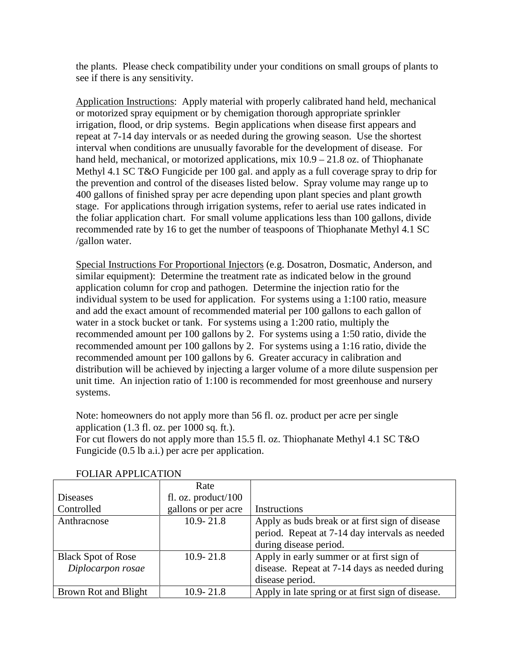the plants. Please check compatibility under your conditions on small groups of plants to see if there is any sensitivity.

Application Instructions: Apply material with properly calibrated hand held, mechanical or motorized spray equipment or by chemigation thorough appropriate sprinkler irrigation, flood, or drip systems. Begin applications when disease first appears and repeat at 7-14 day intervals or as needed during the growing season. Use the shortest interval when conditions are unusually favorable for the development of disease. For hand held, mechanical, or motorized applications, mix  $10.9 - 21.8$  oz. of Thiophanate Methyl 4.1 SC T&O Fungicide per 100 gal. and apply as a full coverage spray to drip for the prevention and control of the diseases listed below. Spray volume may range up to 400 gallons of finished spray per acre depending upon plant species and plant growth stage. For applications through irrigation systems, refer to aerial use rates indicated in the foliar application chart. For small volume applications less than 100 gallons, divide recommended rate by 16 to get the number of teaspoons of Thiophanate Methyl 4.1 SC /gallon water.

Special Instructions For Proportional Injectors (e.g. Dosatron, Dosmatic, Anderson, and similar equipment): Determine the treatment rate as indicated below in the ground application column for crop and pathogen. Determine the injection ratio for the individual system to be used for application. For systems using a 1:100 ratio, measure and add the exact amount of recommended material per 100 gallons to each gallon of water in a stock bucket or tank. For systems using a 1:200 ratio, multiply the recommended amount per 100 gallons by 2. For systems using a 1:50 ratio, divide the recommended amount per 100 gallons by 2. For systems using a 1:16 ratio, divide the recommended amount per 100 gallons by 6. Greater accuracy in calibration and distribution will be achieved by injecting a larger volume of a more dilute suspension per unit time. An injection ratio of 1:100 is recommended for most greenhouse and nursery systems.

Note: homeowners do not apply more than 56 fl. oz. product per acre per single application  $(1.3 \text{ fl. oz. per } 1000 \text{ sq. ft.}).$ 

For cut flowers do not apply more than 15.5 fl. oz. Thiophanate Methyl 4.1 SC T&O Fungicide (0.5 lb a.i.) per acre per application.

|                           | Rate                  |                                                   |
|---------------------------|-----------------------|---------------------------------------------------|
| Diseases                  | fl. oz. $product/100$ |                                                   |
| Controlled                | gallons or per acre   | Instructions                                      |
| Anthracnose               | $10.9 - 21.8$         | Apply as buds break or at first sign of disease   |
|                           |                       | period. Repeat at 7-14 day intervals as needed    |
|                           |                       | during disease period.                            |
| <b>Black Spot of Rose</b> | $10.9 - 21.8$         | Apply in early summer or at first sign of         |
| Diplocarpon rosae         |                       | disease. Repeat at 7-14 days as needed during     |
|                           |                       | disease period.                                   |
| Brown Rot and Blight      | $10.9 - 21.8$         | Apply in late spring or at first sign of disease. |

FOLIAR APPLICATION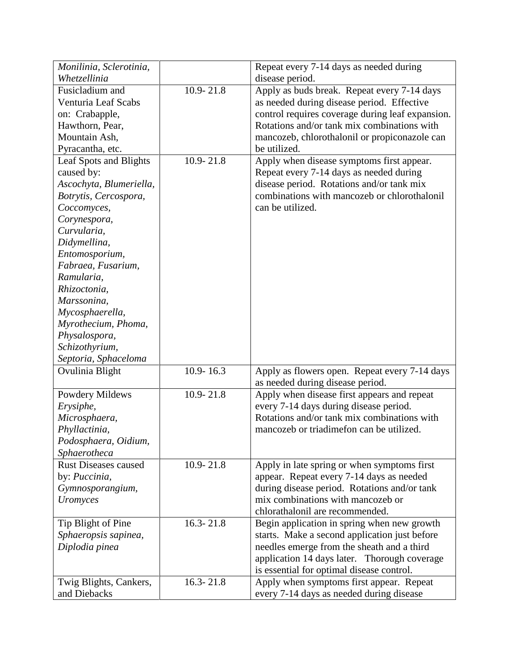| Monilinia, Sclerotinia,                |               | Repeat every 7-14 days as needed during          |
|----------------------------------------|---------------|--------------------------------------------------|
| Whetzellinia                           |               | disease period.                                  |
| Fusicladium and                        | $10.9 - 21.8$ | Apply as buds break. Repeat every 7-14 days      |
| Venturia Leaf Scabs                    |               | as needed during disease period. Effective       |
| on: Crabapple,                         |               | control requires coverage during leaf expansion. |
| Hawthorn, Pear,                        |               | Rotations and/or tank mix combinations with      |
| Mountain Ash,                          |               | mancozeb, chlorothalonil or propiconazole can    |
| Pyracantha, etc.                       |               | be utilized.                                     |
| Leaf Spots and Blights                 | $10.9 - 21.8$ | Apply when disease symptoms first appear.        |
| caused by:                             |               | Repeat every 7-14 days as needed during          |
| Ascochyta, Blumeriella,                |               | disease period. Rotations and/or tank mix        |
| Botrytis, Cercospora,                  |               | combinations with mancozeb or chlorothalonil     |
| Coccomyces,                            |               | can be utilized.                                 |
| Corynespora,                           |               |                                                  |
| Curvularia,                            |               |                                                  |
| Didymellina,                           |               |                                                  |
| Entomosporium,                         |               |                                                  |
| Fabraea, Fusarium,                     |               |                                                  |
| Ramularia,                             |               |                                                  |
| Rhizoctonia,                           |               |                                                  |
| Marssonina,                            |               |                                                  |
| Mycosphaerella,                        |               |                                                  |
| Myrothecium, Phoma,                    |               |                                                  |
| Physalospora,                          |               |                                                  |
| Schizothyrium,                         |               |                                                  |
| Septoria, Sphaceloma                   |               |                                                  |
| Ovulinia Blight                        | $10.9 - 16.3$ | Apply as flowers open. Repeat every 7-14 days    |
|                                        |               | as needed during disease period.                 |
| Powdery Mildews                        | $10.9 - 21.8$ | Apply when disease first appears and repeat      |
| Erysiphe,                              |               | every 7-14 days during disease period.           |
| Microsphaera,                          |               | Rotations and/or tank mix combinations with      |
| Phyllactinia,                          |               | mancozeb or triadimefon can be utilized.         |
| Podosphaera, Oidium,                   |               |                                                  |
| Sphaerotheca                           |               |                                                  |
| <b>Rust Diseases caused</b>            | $10.9 - 21.8$ | Apply in late spring or when symptoms first      |
| by: Puccinia,                          |               | appear. Repeat every 7-14 days as needed         |
| Gymnosporangium,                       |               | during disease period. Rotations and/or tank     |
| Uromyces                               |               | mix combinations with mancozeb or                |
|                                        |               | chlorathalonil are recommended.                  |
| Tip Blight of Pine                     | $16.3 - 21.8$ | Begin application in spring when new growth      |
| Sphaeropsis sapinea,                   |               | starts. Make a second application just before    |
| Diplodia pinea                         |               | needles emerge from the sheath and a third       |
|                                        |               | application 14 days later. Thorough coverage     |
|                                        |               | is essential for optimal disease control.        |
|                                        | $16.3 - 21.8$ | Apply when symptoms first appear. Repeat         |
| Twig Blights, Cankers,<br>and Diebacks |               | every 7-14 days as needed during disease         |
|                                        |               |                                                  |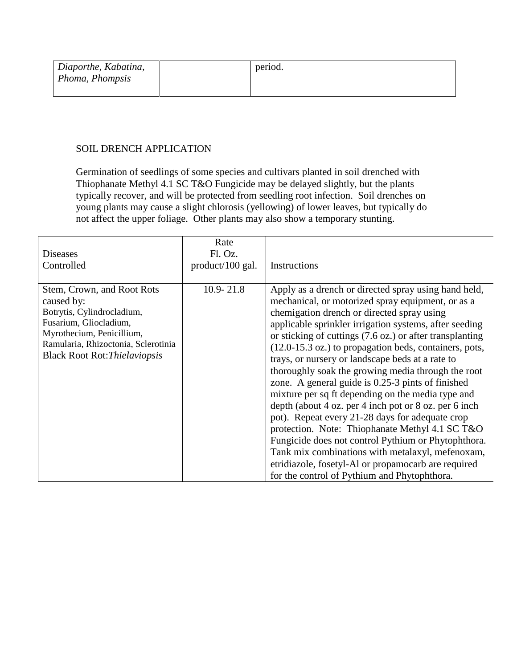| Diaporthe, Kabatina, | period. |
|----------------------|---------|
| Phoma, Phompsis      |         |
|                      |         |

# SOIL DRENCH APPLICATION

Germination of seedlings of some species and cultivars planted in soil drenched with Thiophanate Methyl 4.1 SC T&O Fungicide may be delayed slightly, but the plants typically recover, and will be protected from seedling root infection. Soil drenches on young plants may cause a slight chlorosis (yellowing) of lower leaves, but typically do not affect the upper foliage. Other plants may also show a temporary stunting.

| <b>Diseases</b><br>Controlled                                                                                                                                                                                | Rate<br>Fl. Oz.<br>product/100 gal. | Instructions                                                                                                                                                                                                                                                                                                                                                                                                                                                                                                                                                                                                                                                                                                                                                                                                                                                                                                                                                     |
|--------------------------------------------------------------------------------------------------------------------------------------------------------------------------------------------------------------|-------------------------------------|------------------------------------------------------------------------------------------------------------------------------------------------------------------------------------------------------------------------------------------------------------------------------------------------------------------------------------------------------------------------------------------------------------------------------------------------------------------------------------------------------------------------------------------------------------------------------------------------------------------------------------------------------------------------------------------------------------------------------------------------------------------------------------------------------------------------------------------------------------------------------------------------------------------------------------------------------------------|
| Stem, Crown, and Root Rots<br>caused by:<br>Botrytis, Cylindrocladium,<br>Fusarium, Gliocladium,<br>Myrothecium, Penicillium,<br>Ramularia, Rhizoctonia, Sclerotinia<br><b>Black Root Rot: Thielaviopsis</b> | $10.9 - 21.8$                       | Apply as a drench or directed spray using hand held,<br>mechanical, or motorized spray equipment, or as a<br>chemigation drench or directed spray using<br>applicable sprinkler irrigation systems, after seeding<br>or sticking of cuttings $(7.6 \text{ oz.})$ or after transplanting<br>$(12.0-15.3 \text{ oz.})$ to propagation beds, containers, pots,<br>trays, or nursery or landscape beds at a rate to<br>thoroughly soak the growing media through the root<br>zone. A general guide is 0.25-3 pints of finished<br>mixture per sq ft depending on the media type and<br>depth (about 4 oz. per 4 inch pot or 8 oz. per 6 inch<br>pot). Repeat every 21-28 days for adequate crop<br>protection. Note: Thiophanate Methyl 4.1 SC T&O<br>Fungicide does not control Pythium or Phytophthora.<br>Tank mix combinations with metalaxyl, mefenoxam,<br>etridiazole, fosetyl-Al or propamocarb are required<br>for the control of Pythium and Phytophthora. |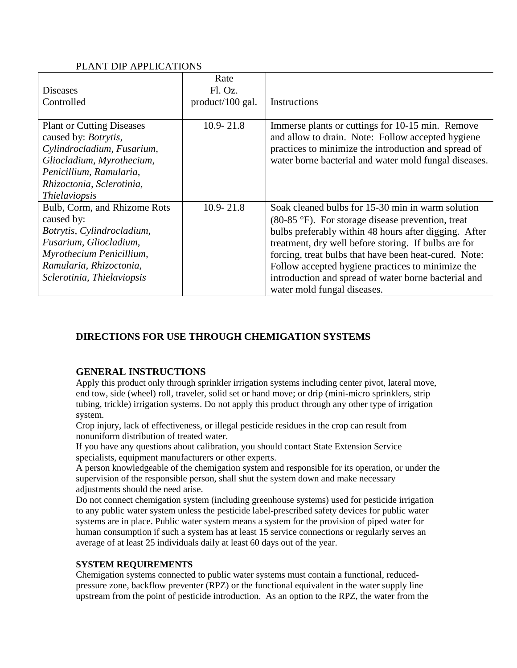#### PLANT DIP APPLICATIONS

|                                  | Rate             |                                                              |
|----------------------------------|------------------|--------------------------------------------------------------|
| Diseases                         | Fl. Oz.          |                                                              |
| Controlled                       | product/100 gal. | Instructions                                                 |
|                                  |                  |                                                              |
| <b>Plant or Cutting Diseases</b> | $10.9 - 21.8$    | Immerse plants or cuttings for 10-15 min. Remove             |
| caused by: <i>Botrytis</i> ,     |                  | and allow to drain. Note: Follow accepted hygiene            |
| Cylindrocladium, Fusarium,       |                  | practices to minimize the introduction and spread of         |
| Gliocladium, Myrothecium,        |                  | water borne bacterial and water mold fungal diseases.        |
| Penicillium, Ramularia,          |                  |                                                              |
| Rhizoctonia, Sclerotinia,        |                  |                                                              |
| <i>Thielaviopsis</i>             |                  |                                                              |
| Bulb, Corm, and Rhizome Rots     | $10.9 - 21.8$    | Soak cleaned bulbs for 15-30 min in warm solution            |
| caused by:                       |                  | $(80-85 \text{ °F})$ . For storage disease prevention, treat |
| Botrytis, Cylindrocladium,       |                  | bulbs preferably within 48 hours after digging. After        |
| Fusarium, Gliocladium,           |                  | treatment, dry well before storing. If bulbs are for         |
| Myrothecium Penicillium,         |                  | forcing, treat bulbs that have been heat-cured. Note:        |
| Ramularia, Rhizoctonia,          |                  | Follow accepted hygiene practices to minimize the            |
| Sclerotinia, Thielaviopsis       |                  | introduction and spread of water borne bacterial and         |
|                                  |                  | water mold fungal diseases.                                  |

# **DIRECTIONS FOR USE THROUGH CHEMIGATION SYSTEMS**

# **GENERAL INSTRUCTIONS**

Apply this product only through sprinkler irrigation systems including center pivot, lateral move, end tow, side (wheel) roll, traveler, solid set or hand move; or drip (mini-micro sprinklers, strip tubing, trickle) irrigation systems. Do not apply this product through any other type of irrigation system.

Crop injury, lack of effectiveness, or illegal pesticide residues in the crop can result from nonuniform distribution of treated water.

If you have any questions about calibration, you should contact State Extension Service specialists, equipment manufacturers or other experts.

A person knowledgeable of the chemigation system and responsible for its operation, or under the supervision of the responsible person, shall shut the system down and make necessary adjustments should the need arise.

Do not connect chemigation system (including greenhouse systems) used for pesticide irrigation to any public water system unless the pesticide label-prescribed safety devices for public water systems are in place. Public water system means a system for the provision of piped water for human consumption if such a system has at least 15 service connections or regularly serves an average of at least 25 individuals daily at least 60 days out of the year.

#### **SYSTEM REQUIREMENTS**

Chemigation systems connected to public water systems must contain a functional, reducedpressure zone, backflow preventer (RPZ) or the functional equivalent in the water supply line upstream from the point of pesticide introduction. As an option to the RPZ, the water from the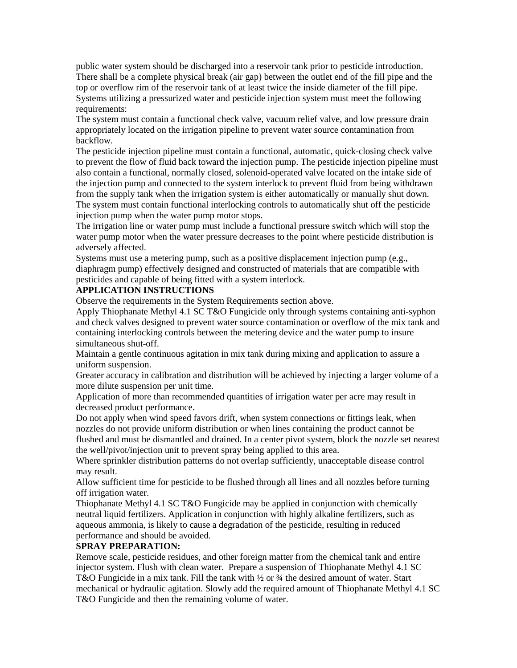public water system should be discharged into a reservoir tank prior to pesticide introduction. There shall be a complete physical break (air gap) between the outlet end of the fill pipe and the top or overflow rim of the reservoir tank of at least twice the inside diameter of the fill pipe. Systems utilizing a pressurized water and pesticide injection system must meet the following requirements:

The system must contain a functional check valve, vacuum relief valve, and low pressure drain appropriately located on the irrigation pipeline to prevent water source contamination from backflow.

The pesticide injection pipeline must contain a functional, automatic, quick-closing check valve to prevent the flow of fluid back toward the injection pump. The pesticide injection pipeline must also contain a functional, normally closed, solenoid-operated valve located on the intake side of the injection pump and connected to the system interlock to prevent fluid from being withdrawn from the supply tank when the irrigation system is either automatically or manually shut down. The system must contain functional interlocking controls to automatically shut off the pesticide injection pump when the water pump motor stops.

The irrigation line or water pump must include a functional pressure switch which will stop the water pump motor when the water pressure decreases to the point where pesticide distribution is adversely affected.

Systems must use a metering pump, such as a positive displacement injection pump (e.g., diaphragm pump) effectively designed and constructed of materials that are compatible with pesticides and capable of being fitted with a system interlock.

#### **APPLICATION INSTRUCTIONS**

Observe the requirements in the System Requirements section above.

Apply Thiophanate Methyl 4.1 SC T&O Fungicide only through systems containing anti-syphon and check valves designed to prevent water source contamination or overflow of the mix tank and containing interlocking controls between the metering device and the water pump to insure simultaneous shut-off.

Maintain a gentle continuous agitation in mix tank during mixing and application to assure a uniform suspension.

Greater accuracy in calibration and distribution will be achieved by injecting a larger volume of a more dilute suspension per unit time.

Application of more than recommended quantities of irrigation water per acre may result in decreased product performance.

Do not apply when wind speed favors drift, when system connections or fittings leak, when nozzles do not provide uniform distribution or when lines containing the product cannot be flushed and must be dismantled and drained. In a center pivot system, block the nozzle set nearest the well/pivot/injection unit to prevent spray being applied to this area.

Where sprinkler distribution patterns do not overlap sufficiently, unacceptable disease control may result.

Allow sufficient time for pesticide to be flushed through all lines and all nozzles before turning off irrigation water.

Thiophanate Methyl 4.1 SC T&O Fungicide may be applied in conjunction with chemically neutral liquid fertilizers. Application in conjunction with highly alkaline fertilizers, such as aqueous ammonia, is likely to cause a degradation of the pesticide, resulting in reduced performance and should be avoided.

#### **SPRAY PREPARATION:**

Remove scale, pesticide residues, and other foreign matter from the chemical tank and entire injector system. Flush with clean water. Prepare a suspension of Thiophanate Methyl 4.1 SC T&O Fungicide in a mix tank. Fill the tank with  $\frac{1}{2}$  or  $\frac{3}{4}$  the desired amount of water. Start mechanical or hydraulic agitation. Slowly add the required amount of Thiophanate Methyl 4.1 SC T&O Fungicide and then the remaining volume of water.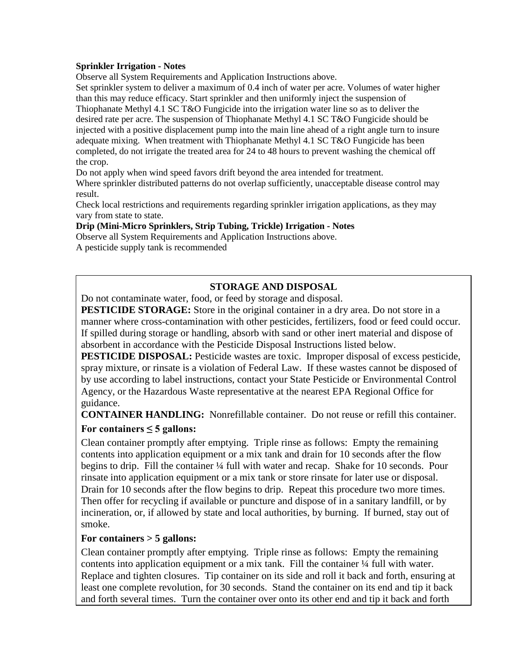#### **Sprinkler Irrigation - Notes**

Observe all System Requirements and Application Instructions above.

Set sprinkler system to deliver a maximum of 0.4 inch of water per acre. Volumes of water higher than this may reduce efficacy. Start sprinkler and then uniformly inject the suspension of Thiophanate Methyl 4.1 SC T&O Fungicide into the irrigation water line so as to deliver the desired rate per acre. The suspension of Thiophanate Methyl 4.1 SC T&O Fungicide should be injected with a positive displacement pump into the main line ahead of a right angle turn to insure adequate mixing. When treatment with Thiophanate Methyl 4.1 SC T&O Fungicide has been completed, do not irrigate the treated area for 24 to 48 hours to prevent washing the chemical off the crop.

Do not apply when wind speed favors drift beyond the area intended for treatment.

Where sprinkler distributed patterns do not overlap sufficiently, unacceptable disease control may result.

Check local restrictions and requirements regarding sprinkler irrigation applications, as they may vary from state to state.

#### **Drip (Mini-Micro Sprinklers, Strip Tubing, Trickle) Irrigation - Notes**

Observe all System Requirements and Application Instructions above. A pesticide supply tank is recommended

## **STORAGE AND DISPOSAL**

Do not contaminate water, food, or feed by storage and disposal.

**PESTICIDE STORAGE:** Store in the original container in a dry area. Do not store in a manner where cross-contamination with other pesticides, fertilizers, food or feed could occur. If spilled during storage or handling, absorb with sand or other inert material and dispose of absorbent in accordance with the Pesticide Disposal Instructions listed below.

**PESTICIDE DISPOSAL:** Pesticide wastes are toxic. Improper disposal of excess pesticide, spray mixture, or rinsate is a violation of Federal Law. If these wastes cannot be disposed of by use according to label instructions, contact your State Pesticide or Environmental Control Agency, or the Hazardous Waste representative at the nearest EPA Regional Office for guidance.

**CONTAINER HANDLING:** Nonrefillable container. Do not reuse or refill this container. **For containers ≤ 5 gallons:**

Clean container promptly after emptying. Triple rinse as follows: Empty the remaining contents into application equipment or a mix tank and drain for 10 seconds after the flow begins to drip. Fill the container ¼ full with water and recap. Shake for 10 seconds. Pour rinsate into application equipment or a mix tank or store rinsate for later use or disposal. Drain for 10 seconds after the flow begins to drip. Repeat this procedure two more times. Then offer for recycling if available or puncture and dispose of in a sanitary landfill, or by incineration, or, if allowed by state and local authorities, by burning. If burned, stay out of smoke.

#### **For containers > 5 gallons:**

Clean container promptly after emptying. Triple rinse as follows: Empty the remaining contents into application equipment or a mix tank. Fill the container  $\frac{1}{4}$  full with water. Replace and tighten closures. Tip container on its side and roll it back and forth, ensuring at least one complete revolution, for 30 seconds. Stand the container on its end and tip it back and forth several times. Turn the container over onto its other end and tip it back and forth